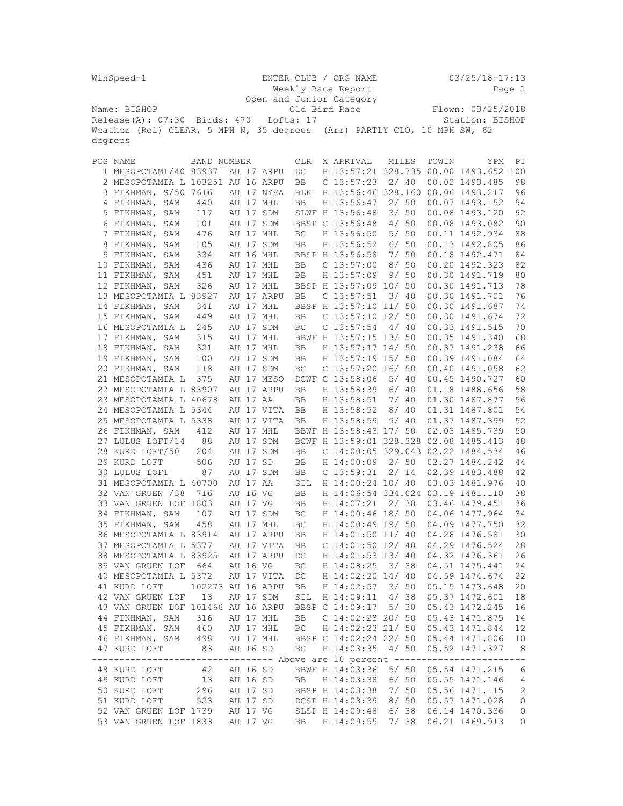|         | WinSpeed-1                                                                    |                   |          | ENTER CLUB / ORG NAME    | Weekly Race Report  |           |                        |       |       |       | $03/25/18 - 17:13$                     | Page 1         |
|---------|-------------------------------------------------------------------------------|-------------------|----------|--------------------------|---------------------|-----------|------------------------|-------|-------|-------|----------------------------------------|----------------|
|         |                                                                               |                   |          | Open and Junior Category |                     |           |                        |       |       |       |                                        |                |
|         | Name: BISHOP                                                                  |                   |          |                          |                     |           | Old Bird Race          |       |       |       | Flown: 03/25/2018                      |                |
|         | $Release(A): 07:30$ Birds: 470                                                |                   |          |                          | Lofts: 17           |           |                        |       |       |       | Station: BISHOP                        |                |
|         | Weather (Rel) CLEAR, 5 MPH N, 35 degrees (Arr) PARTLY CLO, 10 MPH SW, 62      |                   |          |                          |                     |           |                        |       |       |       |                                        |                |
| degrees |                                                                               |                   |          |                          |                     |           |                        |       |       |       |                                        |                |
|         |                                                                               |                   |          |                          |                     |           |                        |       |       |       |                                        |                |
|         | POS NAME                                                                      | BAND NUMBER       |          |                          | <b>CLR</b>          | X ARRIVAL |                        |       | MILES | TOWIN | <b>YPM</b>                             | PT             |
|         | 1 MESOPOTAMI/40 83937                                                         |                   |          | AU 17 ARPU               | DC                  |           |                        |       |       |       | H 13:57:21 328.735 00.00 1493.652 100  |                |
|         | 2 MESOPOTAMIA L 103251 AU 16 ARPU                                             |                   |          |                          | BB                  |           | $C$ 13:57:23           |       | 2/40  |       | 00.02 1493.485                         | 98             |
|         | 3 FIKHMAN, S/50 7616                                                          |                   |          | AU 17 NYKA               | <b>BLK</b>          |           |                        |       |       |       | H 13:56:46 328.160 00.06 1493.217      | 96             |
|         | 4 FIKHMAN, SAM                                                                | 440               |          | AU 17 MHL                | BB                  |           | H 13:56:47             | 2/50  |       |       | 00.07 1493.152                         | 94             |
|         | 5 FIKHMAN, SAM                                                                | 117               |          | AU 17 SDM                |                     |           | SLWF H 13:56:48        |       | 3/50  |       | 00.08 1493.120                         | 92             |
|         | 6 FIKHMAN, SAM                                                                | 101               |          | AU 17 SDM                |                     |           | BBSP C 13:56:48        |       | 4/50  |       | 00.08 1493.082                         | 90             |
|         | 7 FIKHMAN, SAM                                                                | 476               |          | AU 17 MHL                | ВC                  |           | H 13:56:50             | 5/50  |       |       | 00.11 1492.934                         | 88             |
|         | 8 FIKHMAN, SAM                                                                | 105               |          | AU 17 SDM                | BB                  |           | H 13:56:52             |       | 6/50  |       | 00.13 1492.805                         | 86             |
|         | 9 FIKHMAN, SAM                                                                | 334               |          | AU 16 MHL                |                     |           | BBSP H 13:56:58        | 7/50  |       |       | 00.18 1492.471                         | 84             |
|         | 10 FIKHMAN, SAM                                                               | 436               |          | AU 17 MHL                | BB                  |           | $C$ 13:57:00           | 8/50  |       |       | 00.20 1492.323                         | 82             |
|         | 11 FIKHMAN, SAM                                                               | 451               |          | AU 17 MHL                | BB                  |           | H 13:57:09             |       | 9/50  |       | 00.30 1491.719                         | 80             |
|         | 12 FIKHMAN, SAM                                                               | 326               |          | AU 17 MHL                |                     |           | BBSP H 13:57:09 10/ 50 |       |       |       | 00.30 1491.713                         | 78             |
|         | 13 MESOPOTAMIA L 83927                                                        |                   |          | AU 17 ARPU               | BB                  |           | $C$ 13:57:51           |       | 3/40  |       | 00.30 1491.701                         | 76             |
|         | 14 FIKHMAN, SAM                                                               | 341               |          | AU 17 MHL                |                     |           | BBSP H 13:57:10 11/ 50 |       |       |       | 00.30 1491.687                         | 74             |
|         | 15 FIKHMAN, SAM                                                               | 449               |          | AU 17 MHL                | <b>BB</b>           |           | $C$ 13:57:10 12/ 50    |       |       |       | 00.30 1491.674                         | 72             |
|         | 16 MESOPOTAMIA L                                                              | 245               |          | AU 17 SDM                | BC                  |           | $C$ 13:57:54           |       | 4/40  |       | 00.33 1491.515                         | 70             |
|         | 17 FIKHMAN, SAM                                                               | 315               |          | AU 17 MHL                |                     |           | BBWF H 13:57:15 13/ 50 |       |       |       | 00.35 1491.340                         | 68             |
|         | 18 FIKHMAN, SAM                                                               | 321               |          | AU 17 MHL                | <b>BB</b>           |           | H 13:57:17 14/ 50      |       |       |       | 00.37 1491.238                         | 66             |
|         | 19 FIKHMAN, SAM                                                               | 100               |          | AU 17 SDM                | <b>BB</b>           |           | H 13:57:19 15/ 50      |       |       |       | 00.39 1491.084                         | 64             |
|         | 20 FIKHMAN, SAM                                                               | 118               |          | AU 17 SDM                | BC                  |           | C $13:57:20$ 16/50     |       |       |       | 00.40 1491.058                         | 62             |
|         | 21 MESOPOTAMIA L                                                              | 375               |          | AU 17 MESO               |                     |           | DCWF C 13:58:06        |       | 5/40  |       | 00.45 1490.727                         | 60             |
|         | 22 MESOPOTAMIA L 83907                                                        |                   |          | AU 17 ARPU               | BB                  |           | H 13:58:39             |       | 6/40  |       | 01.18 1488.656                         | 58             |
|         | 23 MESOPOTAMIA L 40678                                                        |                   | AU 17 AA |                          | BB                  |           | H 13:58:51             | 7/ 40 |       |       | 01.30 1487.877                         | 56             |
|         | 24 MESOPOTAMIA L 5344                                                         |                   |          | AU 17 VITA               | BB                  |           | H 13:58:52             |       | 8/40  |       | 01.31 1487.801                         | 54             |
|         | 25 MESOPOTAMIA L 5338                                                         |                   |          | AU 17 VITA               | <b>BB</b>           |           | H 13:58:59             |       | 9/40  |       | 01.37 1487.399                         | 52             |
|         | 26 FIKHMAN, SAM                                                               | 412               |          | AU 17 MHL                |                     |           | BBWF H 13:58:43 17/ 50 |       |       |       | 02.03 1485.739                         | 50             |
|         | 27 LULUS LOFT/14                                                              | 88                |          | AU 17 SDM                |                     |           |                        |       |       |       | BCWF H 13:59:01 328.328 02.08 1485.413 | 48             |
|         | 28 KURD LOFT/50                                                               | 204               |          | AU 17 SDM                | <b>BB</b>           |           |                        |       |       |       | C 14:00:05 329.043 02.22 1484.534      | 46             |
|         | 29 KURD LOFT                                                                  | 506               | AU 17 SD |                          | BB                  |           | H 14:00:09             |       | 2/50  |       | 02.27 1484.242                         | 44             |
|         | 30 LULUS LOFT                                                                 | 87                |          | AU 17 SDM                | BB                  |           | $C$ 13:59:31           |       | 2/14  |       | 02.39 1483.488                         | 42             |
|         | 31 MESOPOTAMIA L 40700                                                        |                   | AU 17 AA |                          | SIL                 |           | H 14:00:24 10/ 40      |       |       |       | 03.03 1481.976                         | 40             |
|         | 32 VAN GRUEN /38                                                              | 716               | AU 16 VG |                          | BB                  |           | H 14:07:21             |       |       |       | H 14:06:54 334.024 03.19 1481.110      | 38             |
|         | 33 VAN GRUEN LOF 1803                                                         | 107               | AU 17 VG | AU 17 SDM                | BB<br>ВC            |           | H 14:00:46 18/ 50      | 2/38  |       |       | 03.46 1479.451<br>04.06 1477.964       | 36<br>34       |
|         | 34 FIKHMAN, SAM                                                               |                   |          |                          |                     |           | H 14:00:49 19/ 50      |       |       |       | 04.09 1477.750                         |                |
|         | 35 FIKHMAN, SAM<br>36 MESOPOTAMIA L 83914                                     | 458               |          | AU 17 MHL<br>AU 17 ARPU  | $\operatorname{BC}$ |           | H 14:01:50 11/ 40      |       |       |       | 04.28 1476.581                         | 32<br>30       |
|         | 37 MESOPOTAMIA L 5377                                                         |                   |          | AU 17 VITA               | BB<br>BB            |           | $C$ 14:01:50 12/ 40    |       |       |       | 04.29 1476.524                         | 28             |
|         | 38 MESOPOTAMIA L 83925                                                        |                   |          | AU 17 ARPU               | DC                  |           | H 14:01:53 13/ 40      |       |       |       | 04.32 1476.361                         | 26             |
|         | 39 VAN GRUEN LOF 664                                                          |                   | AU 16 VG |                          | ВC                  |           | H 14:08:25             | 3/38  |       |       | 04.51 1475.441                         | 24             |
|         | 40 MESOPOTAMIA L 5372                                                         |                   |          | AU 17 VITA               | DC                  |           | H 14:02:20 14/ 40      |       |       |       | 04.59 1474.674                         | 22             |
|         | 41 KURD LOFT                                                                  | 102273 AU 16 ARPU |          |                          | BB                  |           | H 14:02:57             | 3/ 50 |       |       | 05.15 1473.648                         | 20             |
|         | 42 VAN GRUEN LOF                                                              | 13                |          | AU 17 SDM                | SIL                 |           | H 14:09:11             | 4/38  |       |       | 05.37 1472.601                         | 18             |
|         | 43 VAN GRUEN LOF 101468 AU 16 ARPU                                            |                   |          |                          | BBSP C 14:09:17     |           |                        | 5/38  |       |       | 05.43 1472.245                         | 16             |
|         | 44 FIKHMAN, SAM                                                               | 316               |          | AU 17 MHL                | BB                  |           | C $14:02:23$ 20/ 50    |       |       |       | 05.43 1471.875                         | 14             |
|         | 45 FIKHMAN, SAM 460                                                           |                   |          | AU 17 MHL                | BC                  |           | H 14:02:23 21/ 50      |       |       |       | 05.43 1471.844                         | 12             |
|         | 46 FIKHMAN, SAM 498                                                           |                   |          | AU 17 MHL                |                     |           | BBSP C 14:02:24 22/ 50 |       |       |       | 05.44 1471.806                         | 10             |
|         | 47 KURD LOFT                                                                  | 83                | AU 16 SD |                          | ВC                  |           | H 14:03:35 4/ 50       |       |       |       | 05.52 1471.327                         | $_{\circ}$ 8   |
|         | ------------------------------- Above are 10 percent ------------------------ |                   |          |                          |                     |           |                        |       |       |       |                                        |                |
|         | 48 KURD LOFT                                                                  | 42 AU 16 SD       |          |                          |                     |           | BBWF H 14:03:36        |       |       |       | 5/ 50 05.54 1471.215                   | 6              |
|         | 49 KURD LOFT                                                                  | 13                | AU 16 SD |                          | <b>BB</b>           |           | H 14:03:38 6/ 50       |       |       |       | 05.55 1471.146                         | $\overline{4}$ |
|         | 50 KURD LOFT                                                                  | 296               | AU 17 SD |                          |                     |           | BBSP H 14:03:38 7/ 50  |       |       |       | 05.56 1471.115                         | 2              |
|         | 51 KURD LOFT                                                                  | 523               | AU 17 SD |                          |                     |           | DCSP H 14:03:39 8/ 50  |       |       |       | 05.57 1471.028                         | 0              |
|         | 52 VAN GRUEN LOF 1739 AU 17 VG                                                |                   |          |                          |                     |           | SLSP H 14:09:48 6/38   |       |       |       | 06.14 1470.336                         | 0              |
|         | 53 VAN GRUEN LOF 1833                                                         |                   | AU 17 VG |                          | BB                  |           | H 14:09:55 7/ 38       |       |       |       | 06.21 1469.913                         | 0              |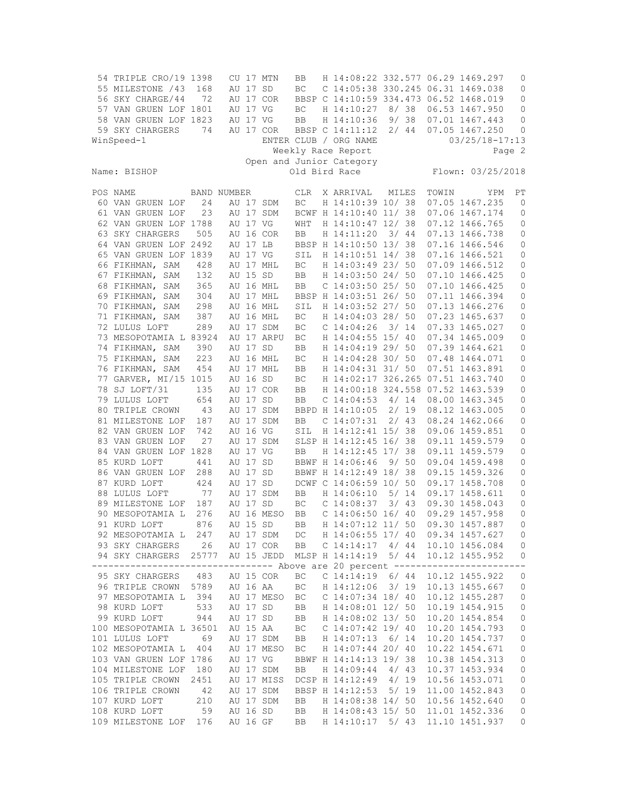| 54 TRIPLE CRO/19 1398<br>55 MILESTONE / 43<br>56 SKY CHARGE/44<br>57 VAN GRUEN LOF 1801<br>58 VAN GRUEN LOF 1823 | 168<br>72   | AU 17 SD<br>AU 17 VG<br>AU 17 VG | CU 17 MTN<br>AU 17 COR | BB<br>ВC<br>BC<br>BB | H 14:08:22 332.577 06.29 1469.297<br>C 14:05:38 330.245 06.31 1469.038<br>BBSP C 14:10:59 334.473 06.52 1468.019<br>H 14:10:27 8/38<br>H 14:10:36 | 9/38  |      |       | 06.53 1467.950<br>07.01 1467.443     | 0<br>0<br>0<br>0<br>0 |
|------------------------------------------------------------------------------------------------------------------|-------------|----------------------------------|------------------------|----------------------|---------------------------------------------------------------------------------------------------------------------------------------------------|-------|------|-------|--------------------------------------|-----------------------|
| 59 SKY CHARGERS<br>WinSpeed-1                                                                                    | 74          |                                  | AU 17 COR              |                      | BBSP C 14:11:12 2/ 44<br>ENTER CLUB / ORG NAME                                                                                                    |       |      |       | 07.05 1467.250<br>$03/25/18 - 17:13$ | 0                     |
|                                                                                                                  |             |                                  |                        |                      | Weekly Race Report                                                                                                                                |       |      |       |                                      | Page 2                |
| Name: BISHOP                                                                                                     |             |                                  |                        |                      | Open and Junior Category<br>Old Bird Race                                                                                                         |       |      |       | Flown: 03/25/2018                    |                       |
| POS NAME                                                                                                         | BAND NUMBER |                                  |                        | <b>CLR</b>           | X ARRIVAL                                                                                                                                         | MILES |      | TOWIN | YPM                                  | РT                    |
| 60 VAN GRUEN LOF                                                                                                 | 24          |                                  | AU 17 SDM              | ВC                   | H 14:10:39 10/ 38                                                                                                                                 |       |      |       | 07.05 1467.235                       | 0                     |
| 61 VAN GRUEN LOF                                                                                                 | 23          |                                  | AU 17 SDM              |                      | BCWF H 14:10:40 11/ 38                                                                                                                            |       |      |       | 07.06 1467.174                       | 0                     |
| 62 VAN GRUEN LOF 1788<br>63 SKY CHARGERS                                                                         | 505         | AU 17 VG                         | AU 16 COR              | WHT<br>BB            | H 14:10:47 12/ 38<br>H 14:11:20                                                                                                                   |       | 3/44 |       | 07.12 1466.765<br>07.13 1466.738     | 0<br>0                |
| 64 VAN GRUEN LOF 2492                                                                                            |             | AU 17 LB                         |                        |                      | BBSP H 14:10:50 13/ 38                                                                                                                            |       |      |       | 07.16 1466.546                       | 0                     |
| 65 VAN GRUEN LOF 1839                                                                                            |             | AU 17 VG                         |                        | SIL                  | H 14:10:51 14/ 38                                                                                                                                 |       |      |       | 07.16 1466.521                       | 0                     |
| 66 FIKHMAN, SAM                                                                                                  | 428         |                                  | AU 17 MHL              | ВC                   | H 14:03:49 23/ 50                                                                                                                                 |       |      |       | 07.09 1466.512                       | 0                     |
| 67 FIKHMAN, SAM                                                                                                  | 132         | AU 15 SD                         |                        | BB                   | H 14:03:50 24/ 50                                                                                                                                 |       |      |       | 07.10 1466.425                       | 0                     |
| 68 FIKHMAN, SAM                                                                                                  | 365         |                                  | AU 16 MHL              | BB                   | $C$ 14:03:50 25/ 50                                                                                                                               |       |      |       | 07.10 1466.425                       | 0                     |
| 69 FIKHMAN, SAM                                                                                                  | 304         |                                  | AU 17 MHL              |                      | BBSP H 14:03:51 26/ 50                                                                                                                            |       |      |       | 07.11 1466.394                       | 0                     |
| 70 FIKHMAN, SAM                                                                                                  | 298         |                                  | AU 16 MHL              | SIL                  | H 14:03:52 27/ 50                                                                                                                                 |       |      |       | 07.13 1466.276                       | 0                     |
| 71 FIKHMAN, SAM                                                                                                  | 387         |                                  | AU 16 MHL              | ВC                   | H 14:04:03 28/ 50                                                                                                                                 |       |      |       | 07.23 1465.637                       | 0                     |
| 72 LULUS LOFT                                                                                                    | 289         |                                  | AU 17 SDM              | ВC                   | $C$ 14:04:26                                                                                                                                      |       | 3/14 |       | 07.33 1465.027                       | 0                     |
| 73 MESOPOTAMIA L 83924                                                                                           |             |                                  | AU 17 ARPU             | ВC                   | H 14:04:55 15/ 40                                                                                                                                 |       |      |       | 07.34 1465.009                       | 0                     |
| 74 FIKHMAN, SAM<br>75 FIKHMAN, SAM                                                                               | 390<br>223  | AU 17 SD                         | AU 16 MHL              | BB                   | H 14:04:19 29/ 50<br>H 14:04:28 30/ 50                                                                                                            |       |      |       | 07.39 1464.621<br>07.48 1464.071     | 0                     |
| 76 FIKHMAN, SAM                                                                                                  | 454         |                                  | AU 17 MHL              | ВC<br>BB             | H 14:04:31 31/ 50                                                                                                                                 |       |      |       | 07.51 1463.891                       | 0<br>0                |
| 77 GARVER, MI/15 1015                                                                                            |             | AU 16 SD                         |                        | ВC                   | H 14:02:17 326.265 07.51 1463.740                                                                                                                 |       |      |       |                                      | 0                     |
| 78 SJ LOFT/31                                                                                                    | 135         |                                  | AU 17 COR              | BB                   | H 14:00:18 324.558 07.52 1463.539                                                                                                                 |       |      |       |                                      | 0                     |
| 79 LULUS LOFT                                                                                                    | 654         | AU 17 SD                         |                        | BB                   | $C$ 14:04:53                                                                                                                                      |       | 4/14 |       | 08.00 1463.345                       | 0                     |
| 80 TRIPLE CROWN                                                                                                  | 43          |                                  | AU 17 SDM              |                      | BBPD H 14:10:05                                                                                                                                   |       | 2/19 |       | 08.12 1463.005                       | 0                     |
| 81 MILESTONE LOF                                                                                                 | 187         |                                  | AU 17 SDM              | BB                   | $C$ 14:07:31                                                                                                                                      |       | 2/43 |       | 08.24 1462.066                       | 0                     |
| 82 VAN GRUEN LOF                                                                                                 | 742         | AU 16 VG                         |                        | SIL                  | H 14:12:41 15/ 38                                                                                                                                 |       |      |       | 09.06 1459.851                       | 0                     |
| 83 VAN GRUEN LOF                                                                                                 | 27          |                                  | AU 17 SDM              |                      | SLSP H 14:12:45 16/ 38                                                                                                                            |       |      |       | 09.11 1459.579                       | 0                     |
| 84 VAN GRUEN LOF 1828                                                                                            |             | AU 17 VG                         |                        | BB                   | H 14:12:45 17/ 38                                                                                                                                 |       |      |       | 09.11 1459.579                       | 0                     |
| 85 KURD LOFT                                                                                                     | 441         | AU 17                            | SD                     |                      | BBWF H 14:06:46                                                                                                                                   |       | 9/50 |       | 09.04 1459.498                       | 0                     |
| 86 VAN GRUEN LOF                                                                                                 | 288         | AU 17 SD                         |                        |                      | BBWF H 14:12:49 18/ 38                                                                                                                            |       |      |       | 09.15 1459.326                       | 0                     |
| 87 KURD LOFT<br>88 LULUS LOFT                                                                                    | 424<br>77   | AU 17 SD                         | AU 17 SDM              | BB                   | DCWF C 14:06:59 10/ 50<br>H 14:06:10                                                                                                              | 5/14  |      |       | 09.17 1458.708<br>09.17 1458.611     | 0<br>0                |
| 89 MILESTONE LOF                                                                                                 | 187         | AU 17 SD                         |                        | ВC                   | $C$ 14:08:37                                                                                                                                      |       | 3/43 |       | 09.30 1458.043                       | 0                     |
| 90 MESOPOTAMIA L                                                                                                 | 276         |                                  | AU 16 MESO             | BB                   | $C$ 14:06:50 16/40                                                                                                                                |       |      |       | 09.29 1457.958                       | 0                     |
| 91 KURD LOFT                                                                                                     | 876         | AU 15 SD                         |                        | <b>BB</b>            | H 14:07:12 11/ 50                                                                                                                                 |       |      |       | 09.30 1457.887                       | 0                     |
| 92 MESOPOTAMIA L                                                                                                 | 247         |                                  | AU 17 SDM              | DC                   | H 14:06:55 17/ 40                                                                                                                                 |       |      |       | 09.34 1457.627                       | 0                     |
| 93 SKY CHARGERS                                                                                                  | 26          |                                  | AU 17 COR              | ВB                   | C <sub>14:14:17</sub>                                                                                                                             | 4/44  |      |       | 10.10 1456.084                       | 0                     |
| 94 SKY CHARGERS                                                                                                  | 25777       |                                  | AU 15 JEDD             |                      | MLSP H 14:14:19 5/ 44                                                                                                                             |       |      |       | 10.12 1455.952                       | 0                     |
| -------<br>-----                                                                                                 |             |                                  |                        |                      | ----------- Above are 20 percent -----                                                                                                            |       |      |       | -------                              | $ -$                  |
| 95 SKY CHARGERS                                                                                                  | 483         |                                  | AU 15 COR              | ВC                   | $C$ 14:14:19                                                                                                                                      |       | 6/44 |       | 10.12 1455.922                       | 0                     |
| 96 TRIPLE CROWN 5789                                                                                             |             | AU 16 AA                         |                        | ВC                   | H 14:12:06                                                                                                                                        |       | 3/19 |       | 10.13 1455.667                       | 0                     |
| 97 MESOPOTAMIA L<br>98 KURD LOFT                                                                                 | 394<br>533  |                                  | AU 17 MESO             | ВC                   | C 14:07:34 18/ 40<br>H 14:08:01 12/ 50                                                                                                            |       |      |       | 10.12 1455.287<br>10.19 1454.915     | 0<br>$\mathbb O$      |
| 99 KURD LOFT                                                                                                     | 944         | AU 17 SD<br>AU 17 SD             |                        | BB<br>ВB             | H 14:08:02 13/ 50                                                                                                                                 |       |      |       | 10.20 1454.854                       | 0                     |
| 100 MESOPOTAMIA L 36501                                                                                          |             | AU 15 AA                         |                        | ВC                   | $C$ 14:07:42 19/40                                                                                                                                |       |      |       | 10.20 1454.793                       | $\mathbb O$           |
| 101 LULUS LOFT                                                                                                   | 69          |                                  | AU 17 SDM              | BB                   | H 14:07:13                                                                                                                                        |       | 6/14 |       | 10.20 1454.737                       | 0                     |
| 102 MESOPOTAMIA L                                                                                                | 404         |                                  | AU 17 MESO             | ВC                   | H 14:07:44 20/ 40                                                                                                                                 |       |      |       | 10.22 1454.671                       | 0                     |
| 103 VAN GRUEN LOF 1786                                                                                           |             | AU 17 VG                         |                        |                      | BBWF H 14:14:13 19/ 38                                                                                                                            |       |      |       | 10.38 1454.313                       | $\mathsf{O}\xspace$   |
| 104 MILESTONE LOF                                                                                                | 180         |                                  | AU 17 SDM              | BB                   | H 14:09:44                                                                                                                                        |       | 4/43 |       | 10.37 1453.934                       | $\mathbb O$           |
| 105 TRIPLE CROWN                                                                                                 | 2451        |                                  | AU 17 MISS             |                      | DCSP H 14:12:49                                                                                                                                   |       | 4/19 |       | 10.56 1453.071                       | 0                     |
| 106 TRIPLE CROWN                                                                                                 | 42          |                                  | AU 17 SDM              |                      | BBSP H 14:12:53                                                                                                                                   | 5/19  |      |       | 11.00 1452.843                       | $\mathbb O$           |
| 107 KURD LOFT                                                                                                    | 210         |                                  | AU 17 SDM              | BB                   | H 14:08:38 14/ 50                                                                                                                                 |       |      |       | 10.56 1452.640                       | 0                     |
| 108 KURD LOFT                                                                                                    | 59          | AU 16 SD                         |                        | BB                   | H 14:08:43 15/ 50                                                                                                                                 |       |      |       | 11.01 1452.336                       | 0                     |
| 109 MILESTONE LOF                                                                                                | 176         | AU 16 GF                         |                        | BB                   | H 14:10:17                                                                                                                                        | 5/ 43 |      |       | 11.10 1451.937                       | 0                     |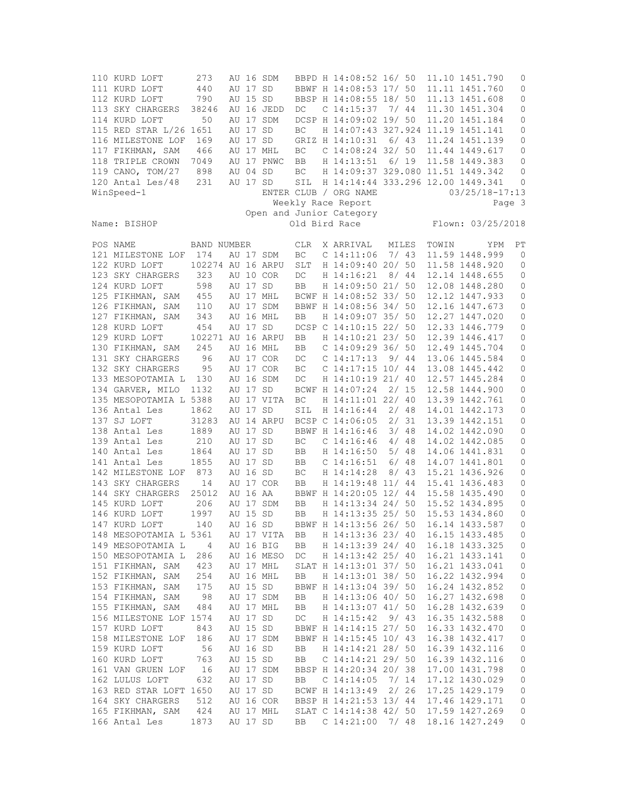110 KURD LOFT 273 AU 16 SDM BBPD H 14:08:52 16/ 50 11.10 1451.790 0 111 KURD LOFT 440 AU 17 SD BBWF H 14:08:53 17/ 50 11.11 1451.760 0 790 AU 15 SD BBSP H 14:08:55 18/ 50 11.13 1451.608 0 113 SKY CHARGERS 38246 AU 16 JEDD DC C 14:15:37 7/ 44 11.30 1451.304 0 114 KURD LOFT 50 AU 17 SDM DCSP H 14:09:02 19/ 50 11.20 1451.184 0 115 RED STAR L/26 1651 AU 17 SD BC H 14:07:43 327.924 11.19 1451.141 0<br>116 MILESTONE LOF 169 AU 17 SD GRIZ H 14:10:31 6/43 11.24 1451.139 0 116 MILESTONE LOF 169 AU 17 SD GRIZ H 14:10:31 6/ 43 11.24 1451.139 0 117 FIKHMAN, SAM 466 AU 17 MHL BC C 14:08:24 32/ 50 11.44 1449.617 0 118 TRIPLE CROWN 7049 AU 17 PNWC BB H 14:13:51 6/ 19 11.58 1449.383 0 119 CANO, TOM/27 898 AU 04 SD BC H 14:09:37 329.080 11.51 1449.342 0 120 Antal Les/48 231 AU 17 SD SIL H 14:14:44 333.296 12.00 1449.341 0 WinSpeed-1 ENTER CLUB / ORG NAME 03/25/18-17:13 Weekly Race Report Page 3 Open and Junior Category Flown: 03/25/2018 POS NAME BAND NUMBER CLR X ARRIVAL MILES TOWIN YPM PT 121 MILESTONE LOF 174 AU 17 SDM BC C 14:11:06 7/ 43 11.59 1448.999 0 122 KURD LOFT 102274 AU 16 ARPU SLT H 14:09:40 20/ 50 11.58 1448.920 0 123 SKY CHARGERS 323 AU 10 COR DC H 14:16:21 8/ 44 12.14 1448.655 0 124 KURD LOFT 598 AU 17 SD BB H 14:09:50 21/ 50 12.08 1448.280 0<br>125 FIKHMAN, SAM 455 AU 17 MHL BCWF H 14:08:52 33/ 50 12.12 1447.933 0<br>126 TIWAN, SAM 455 AU 17 ANG BCWF H 14:08:56 34/ 58 18:16 14:16:573 0 BCWF H 14:08:52 33/ 50 12.12 1447.933 126 FIKHMAN, SAM 110 AU 17 SDM BBWF H 14:08:56 34/ 50 12.16 1447.673 0 127 FIKHMAN, SAM 343 AU 16 MHL BB H 14:09:07 35/ 50 12.27 1447.020 0 128 KURD LOFT 454 AU 17 SD DCSP C 14:10:15 22/ 50 12.33 1446.779 0 129 KURD LOFT 102271 AU 16 ARPU BB H 14:10:21 23/ 50 12.39 1446.417 0 130 FIKHMAN, SAM 245 AU 16 MHL BB C 14:09:29 36/ 50 12.49 1445.704 0 131 SKY CHARGERS 96 AU 17 COR DC C 14:17:13 9/ 44 13.06 1445.584 0 132 SKY CHARGERS 95 AU 17 COR BC C 14:17:15 10/ 44 13.08 1445.442 0 133 MESOPOTAMIA L 130 AU 16 SDM DC H 14:10:19 21/ 40 12.57 1445.284 0 134 GARVER, MILO 1132 AU 17 SD BCWF H 14:07:24 2/ 15 12.58 1444.900 0 135 MESOPOTAMIA L 5388 AU 17 VITA BC H 14:11:01 22/ 40 13.39 1442.761 0 136 Antal Les 1862 AU 17 SD SIL H 14:16:44 2/ 48 14.01 1442.173 0 137 SJ LOFT 31283 AU 14 ARPU BCSP C 14:06:05 2/ 31 13.39 1442.151 0 138 Antal Les 1889 AU 17 SD BBWF H 14:16:46 3/ 48 14.02 1442.090 0 139 Antal Les 210 AU 17 SD BC C 14:16:46 4/ 48 14.02 1442.085 0 140 Antal Les 1864 AU 17 SD BB H 14:16:50 5/ 48 14.06 1441.831 0 141 Antal Les 1855 AU 17 SD BB C 14:16:51 6/ 48 14.07 1441.801 0 142 MILESTONE LOF 873 AU 16 SD BC H 14:14:28 8/ 43 15.21 1436.926 0 141 Antal Les 1855 AU 17 SD BB C 14:16:51 6/48 14.07 1441.801 0<br>142 MILESTONE LOF 873 AU 16 SD BC H 14:14:28 8/43 15.21 1436.926 0<br>143 SKY CHARGERS 14 AU 17 COR BB H 14:19:48 11/ 44 15.41 1436.483 0<br>144 SKY CHARGERS 25012 144 SKY CHARGERS 25012 AU 16 AA BBWF H 14:20:05 12/ 44 15.58 1435.490 0 145 KURD LOFT 206 AU 17 SDM BB H 14:13:34 24/ 50 15.52 1434.895 0 146 KURD LOFT 1997 AU 15 SD BB H 14:13:35 25/ 50 15.53 1434.860<br>147 KURD LOFT 140 AU 16 SD BBWF H 14:13:56 26/ 50 16.14 1433.587 140 AU 16 SD BBWF H 14:13:56 26/ 50 16.14 1433.587 0 148 MESOPOTAMIA L 5361 AU 17 VITA BB H 14:13:36 23/ 40 16.15 1433.485 0 149 MESOPOTAMIA L 4 AU 16 BIG BB H 14:13:39 24/ 40 16.18 1433.325 0 150 MESOPOTAMIA L 286 AU 16 MESO DC H 14:13:42 25/ 40 16.21 1433.141 0 151 FIKHMAN, SAM 423 AU 17 MHL SLAT H 14:13:01 37/ 50 16.21 1433.041 0 152 FIKHMAN, SAM 254 AU 16 MHL BB H 14:13:01 38/ 50 16.22 1432.994 0 175 AU 15 SD BBWF H 14:13:04 39/ 50 16.24 1432.852 154 FIKHMAN, SAM 98 AU 17 SDM BB H 14:13:06 40/ 50 16.27 1432.698 0<br>155 FIKHMAN, SAM 484 AU 17 MHL BB H 14:13:07 41/ 50 16.28 1432.639 0<br>156 MILESEONE LOE 1574 AU 17 SD DG U 14:15:42 9/43 16:25 1422.598 9 155 FIKHMAN, SAM 484 AU 17 MHL BB H 14:13:07 41/ 50 16.28 1432.639 0 156 MILESTONE LOF 1574 AU 17 SD DC H 14:15:42 9/ 43 16.35 1432.588 0 150 FINNERTONE LOF 1574 AU 17 SD<br>156 MILESTONE LOF 1574 AU 17 SD DC H 14:15:42 9/ 43 16.35 1432.588 0<br>157 KURD LOFT 843 AU 15 SD BBWF H 14:14:15 27/ 50 16.33 1432.470 0 158 MILESTONE LOF 186 AU 17 SDM BBWF H 14:15:45 10/ 43 16.38 1432.417 0 159 KURD LOFT 56 AU 16 SD BB H 14:14:21 28/ 50 16.39 1432.116 0<br>160 KURD LOFT 763 AU 15 SD BB C 14:14:21 29/ 50 16.39 1432.116 0 160 AU 15 SD BB C 14:14:21 29/ 50 16.39 1432.116 0<br>16 AU 17 SDM BBSP H 14:20:34 20/ 38 17.00 1431.798 0 161 VAN GRUEN LOF 16 AU 17 SDM BBSP H 14:20:34 20/ 38 17.00 1431.798 0 162 LULUS LOFT 632 AU 17 SD BB C 14:14:05 7/ 14 17.12 1430.029 0 163 RED STAR LOFT 1650 AU 17 SD BCWF H 14:13:49 2/ 26 17.25 1429.179 0 164 SKY CHARGERS 512 AU 16 COR BBSP H 14:21:53 13/ 44 17.46 1429.171 0 165 FIKHMAN, SAM 424 AU 17 MHL SLAT C 14:14:38 42/ 50 17.59 1427.269 0 166 Antal Les 1873 AU 17 SD BB C 14:21:00 7/ 48 18.16 1427.249 0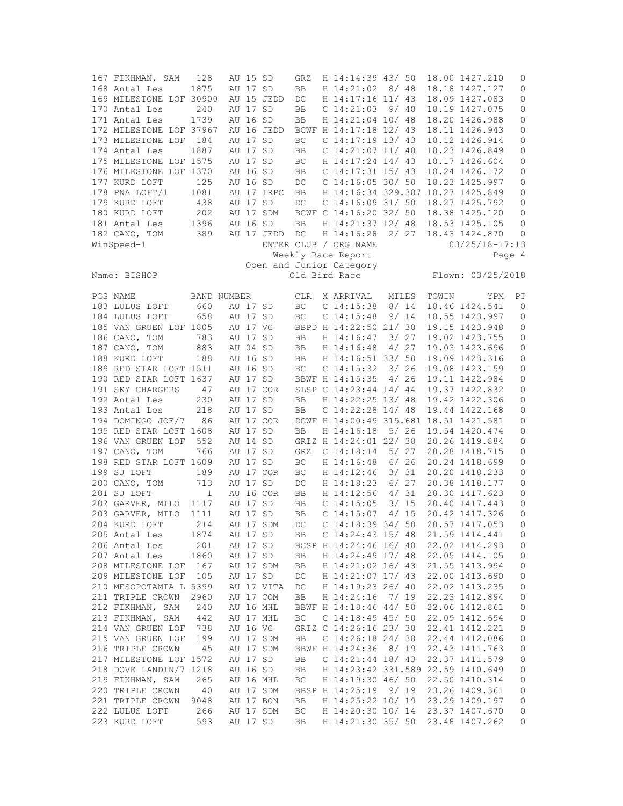| 167 FIKHMAN, SAM        | 128          |             | AU 15 SD |            | GRZ        | H 14:14:39 43/ 50                      |      |       |       | 18.00 1427.210     | 0            |
|-------------------------|--------------|-------------|----------|------------|------------|----------------------------------------|------|-------|-------|--------------------|--------------|
| 168 Antal Les           | 1875         |             | AU 17 SD |            | BB         | H 14:21:02                             |      | 8/48  |       | 18.18 1427.127     | $\mathbf{0}$ |
| 169 MILESTONE LOF 30900 |              |             |          | AU 15 JEDD | DC         | H 14:17:16 11/ 43                      |      |       |       | 18.09 1427.083     | 0            |
| 170 Antal Les           | 240          |             | AU 17 SD |            | BB         | C <sub>14:21:03</sub>                  |      | 9/48  |       | 18.19 1427.075     | 0            |
| 171 Antal Les           | 1739         |             | AU 16 SD |            | BB         | H 14:21:04 10/ 48                      |      |       |       | 18.20 1426.988     | 0            |
| 172 MILESTONE LOF 37967 |              |             |          | AU 16 JEDD |            | BCWF H 14:17:18 12/ 43                 |      |       |       | 18.11 1426.943     | 0            |
| 173 MILESTONE LOF       | 184          |             | AU 17 SD |            | BC         | C 14:17:19 13/ 43                      |      |       |       | 18.12 1426.914     | 0            |
| 174 Antal Les           | 1887         |             | AU 17 SD |            | BB         | $C$ 14:21:07 11/48                     |      |       |       | 18.23 1426.849     | 0            |
| 175 MILESTONE LOF 1575  |              |             | AU 17 SD |            | BC         | H 14:17:24 14/ 43                      |      |       |       | 18.17 1426.604     | 0            |
| 176 MILESTONE LOF 1370  |              |             | AU 16 SD |            | BB         | $C$ 14:17:31 15/43                     |      |       |       | 18.24 1426.172     | $\mathbb O$  |
| 177 KURD LOFT           | 125          |             | AU 16 SD |            | DC         | $C$ 14:16:05 30/ 50                    |      |       |       | 18.23 1425.997     | 0            |
| 178 PNA LOFT/1          | 1081         |             |          | AU 17 IRPC | BB         | H 14:16:34 329.387                     |      |       |       | 18.27 1425.849     | 0            |
|                         |              |             |          |            |            |                                        |      |       |       |                    |              |
| 179 KURD LOFT           | 438          |             | AU 17 SD |            | $DC$       | $C$ 14:16:09 31/50                     |      |       |       | 18.27 1425.792     | 0            |
| 180 KURD LOFT           | 202          |             |          | AU 17 SDM  |            | BCWF C 14:16:20 32/ 50                 |      |       |       | 18.38 1425.120     | 0            |
| 181 Antal Les           | 1396         |             | AU 16 SD |            | BB         | H 14:21:37 12/ 48                      |      |       |       | 18.53 1425.105     | 0            |
| 182 CANO, TOM           | 389          |             |          | AU 17 JEDD | DC         | H 14:16:28                             |      | 2/27  |       | 18.43 1424.870     | 0            |
| WinSpeed-1              |              |             |          |            |            | ENTER CLUB / ORG NAME                  |      |       |       | $03/25/18 - 17:13$ |              |
|                         |              |             |          |            |            | Weekly Race Report                     |      |       |       |                    | Page 4       |
|                         |              |             |          |            |            | Open and Junior Category               |      |       |       |                    |              |
| Name: BISHOP            |              |             |          |            |            | Old Bird Race                          |      |       |       | Flown: 03/25/2018  |              |
|                         |              |             |          |            |            |                                        |      |       |       |                    |              |
| POS NAME                |              | BAND NUMBER |          |            | <b>CLR</b> | X ARRIVAL                              |      | MILES | TOWIN | YPM                | PT           |
| 183 LULUS LOFT          | 660          |             | AU 17 SD |            | <b>BC</b>  | $C$ 14:15:38                           |      | 8/14  |       | 18.46 1424.541     | $\mathbf{0}$ |
| 184 LULUS LOFT          | 658          | AU 17 SD    |          |            | BC         | $C$ 14:15:48                           |      | 9/14  |       | 18.55 1423.997     | 0            |
| 185 VAN GRUEN LOF 1805  |              |             | AU 17 VG |            |            | BBPD H 14:22:50 21/ 38                 |      |       |       | 19.15 1423.948     | 0            |
| 186 CANO, TOM           | 783          | AU 17 SD    |          |            | BB         | H 14:16:47                             |      | 3/27  |       | 19.02 1423.755     | 0            |
| 187 CANO, TOM           | 883          | AU 04 SD    |          |            |            | H 14:16:48                             |      | 4/27  |       | 19.03 1423.696     | 0            |
|                         |              |             |          |            | BB         |                                        |      |       |       |                    |              |
| 188 KURD LOFT           | 188          |             | AU 16 SD |            | BB         | H 14:16:51 33/ 50                      |      |       |       | 19.09 1423.316     | 0            |
| 189 RED STAR LOFT 1511  |              |             | AU 16 SD |            | BC         | $C$ 14:15:32                           |      | 3/26  |       | 19.08 1423.159     | 0            |
| 190 RED STAR LOFT 1637  |              |             | AU 17 SD |            |            | BBWF H 14:15:35                        |      | 4/26  |       | 19.11 1422.984     | $\mathbb O$  |
| 191 SKY CHARGERS        | 47           |             |          | AU 17 COR  |            | SLSP C 14:23:44 14/ 44                 |      |       |       | 19.37 1422.832     | 0            |
| 192 Antal Les           | 230          |             | AU 17 SD |            | BB         | H 14:22:25 13/ 48                      |      |       |       | 19.42 1422.306     | 0            |
| 193 Antal Les           | 218          |             | AU 17 SD |            | BB         | C $14:22:28$ $14/48$                   |      |       |       | 19.44 1422.168     | 0            |
| 194 DOMINGO JOE/7       | 86           |             |          | AU 17 COR  |            | DCWF H 14:00:49 315.681 18.51 1421.581 |      |       |       |                    | 0            |
| 195 RED STAR LOFT 1608  |              |             | AU 17 SD |            | BB         | H 14:16:18                             |      | 5/26  |       | 19.54 1420.474     | 0            |
| 196 VAN GRUEN LOF       | 552          |             | AU 14 SD |            |            | GRIZ H 14:24:01 22/ 38                 |      |       |       | 20.26 1419.884     | 0            |
| 197 CANO, TOM           | 766          |             | AU 17 SD |            | GRZ        | $C$ 14:18:14                           |      | 5/27  |       | 20.28 1418.715     | 0            |
| 198 RED STAR LOFT 1609  |              |             | AU 17 SD |            | ВC         | H 14:16:48                             |      | 6/26  |       | 20.24 1418.699     | 0            |
| 199 SJ LOFT             | 189          |             |          | AU 17 COR  | ВC         | H 14:12:46                             |      | 3/31  |       | 20.20 1418.233     | 0            |
| 200 CANO, TOM           | 713          |             | AU 17 SD |            | DC         | H 14:18:23                             |      | 6/27  |       | 20.38 1418.177     | 0            |
| 201 SJ LOFT             | $\mathbf{1}$ |             |          | AU 16 COR  | BB         | H 14:12:56                             |      | 4/31  |       | 20.30 1417.623     | 0            |
| 202 GARVER, MILO 1117   |              | AU 17 SD    |          |            | BB         | $C$ 14:15:05                           |      | 3/15  |       | 20.40 1417.443     | 0            |
| 203 GARVER, MILO        | 1111         |             | AU 17 SD |            | BB.        | $C$ 14:15:07                           |      | 4/15  |       | 20.42 1417.326     | 0            |
| 204 KURD LOFT           |              |             |          |            |            | $C$ 14:18:39 34/ 50                    |      |       |       | 20.57 1417.053     | $\mathbf 0$  |
|                         | 214          |             |          | AU 17 SDM  | DC         |                                        |      |       |       |                    |              |
| 205 Antal Les           | 1874         |             | AU 17 SD |            | BB         | C $14:24:43$ 15/48                     |      |       |       | 21.59 1414.441     | 0            |
| 206 Antal Les           | 201          |             | AU 17 SD |            |            | BCSP H 14:24:46 16/ 48                 |      |       |       | 22.02 1414.293     | 0            |
| 207 Antal Les           | 1860         |             |          | AU 17 SD   | BB         | H 14:24:49 17/ 48                      |      |       |       | 22.05 1414.105     | 0            |
| 208 MILESTONE LOF       | 167          |             |          | AU 17 SDM  | BB         | H 14:21:02 16/ 43                      |      |       |       | 21.55 1413.994     | 0            |
| 209 MILESTONE LOF       | 105          |             | AU 17 SD |            | DC         | H 14:21:07 17/ 43                      |      |       |       | 22.00 1413.690     | 0            |
| 210 MESOPOTAMIA L 5399  |              |             |          | AU 17 VITA | DC         | H 14:19:23 26/ 40                      |      |       |       | 22.02 1413.235     | $\mathbb O$  |
| 211 TRIPLE CROWN        | 2960         |             |          | AU 17 COM  | BB         | H 14:24:16                             | 7/19 |       |       | 22.23 1412.894     | $\circ$      |
| 212 FIKHMAN, SAM        | 240          |             |          | AU 16 MHL  |            | BBWF H 14:18:46 44/ 50                 |      |       |       | 22.06 1412.861     | 0            |
| 213 FIKHMAN, SAM        | 442          |             |          | AU 17 MHL  | ВC         | $C$ 14:18:49 45/ 50                    |      |       |       | 22.09 1412.694     | $\circ$      |
| 214 VAN GRUEN LOF       | 738          |             | AU 16 VG |            |            | GRIZ C 14:26:16 23/ 38                 |      |       |       | 22.41 1412.221     | $\circ$      |
| 215 VAN GRUEN LOF       | 199          |             |          | AU 17 SDM  | BB         | $C$ 14:26:18 24/38                     |      |       |       | 22.44 1412.086     | 0            |
| 216 TRIPLE CROWN        | 45           |             |          | AU 17 SDM  |            | BBWF H 14:24:36                        |      | 8/19  |       | 22.43 1411.763     | 0            |
| 217 MILESTONE LOF 1572  |              |             | AU 17 SD |            | BB         | $C$ 14:21:44 18/43                     |      |       |       | 22.37 1411.579     | $\mathbb O$  |
|                         |              |             |          |            |            | H 14:23:42 331.589 22.59 1410.649      |      |       |       |                    |              |
| 218 DOVE LANDIN/7 1218  |              |             | AU 16 SD |            | BB         |                                        |      |       |       |                    | $\circ$      |
| 219 FIKHMAN, SAM        | 265          |             |          | AU 16 MHL  | ВC         | H 14:19:30 46/ 50                      |      |       |       | 22.50 1410.314     | 0            |
| 220 TRIPLE CROWN        | 40           |             |          | AU 17 SDM  |            | BBSP H 14:25:19 9/ 19                  |      |       |       | 23.26 1409.361     | $\mathbb O$  |
| 221 TRIPLE CROWN        | 9048         |             |          | AU 17 BON  | BB         | H 14:25:22 10/ 19                      |      |       |       | 23.29 1409.197     | 0            |
| 222 LULUS LOFT          | 266          |             |          | AU 17 SDM  | ВC         | H 14:20:30 10/ 14                      |      |       |       | 23.37 1407.670     | 0            |
| 223 KURD LOFT           | 593          |             | AU 17 SD |            | BB         | H 14:21:30 35/ 50                      |      |       |       | 23.48 1407.262     | 0            |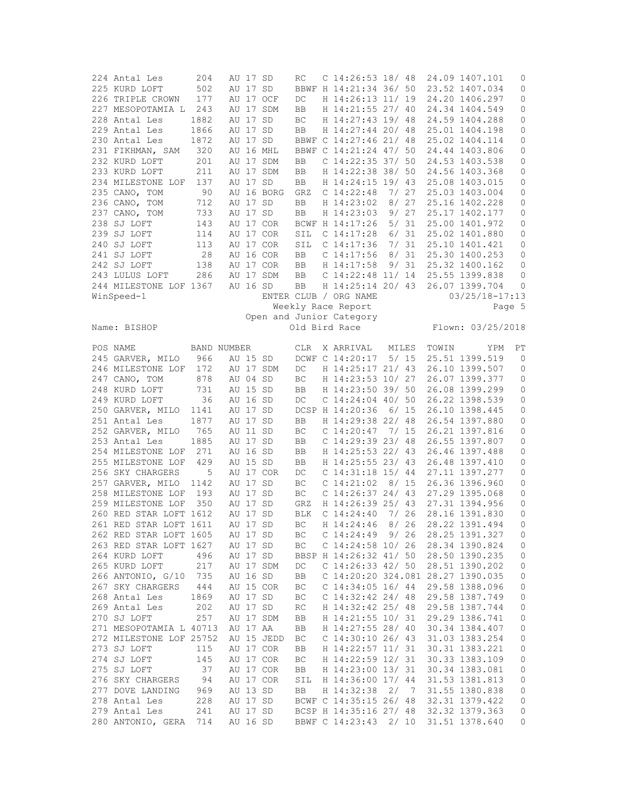| 224 Antal Les                      | 204        | AU 17 SD             |            | RC                  | C $14:26:53$ 18/48                              |       |       |       | 24.09 1407.101                   | 0              |
|------------------------------------|------------|----------------------|------------|---------------------|-------------------------------------------------|-------|-------|-------|----------------------------------|----------------|
| 225 KURD LOFT                      | 502        | AU 17 SD             |            |                     | BBWF H 14:21:34 36/ 50                          |       |       |       | 23.52 1407.034                   | 0              |
| 226 TRIPLE CROWN                   | 177        |                      | AU 17 OCF  | DC                  | H 14:26:13 11/ 19                               |       |       |       | 24.20 1406.297                   | 0              |
| 227 MESOPOTAMIA L                  | 243        |                      | AU 17 SDM  | BB                  | H 14:21:55 27/ 40                               |       |       |       | 24.34 1404.549                   | 0              |
| 228 Antal Les                      | 1882       | AU 17                | SD         | ВC                  | H 14:27:43 19/ 48                               |       |       |       | 24.59 1404.288                   | 0              |
| 229 Antal Les                      | 1866       | AU 17 SD             |            | BB                  | H 14:27:44 20/ 48                               |       |       |       | 25.01 1404.198                   | 0              |
| 230 Antal Les                      | 1872       | AU 17 SD             |            |                     | BBWF C 14:27:46 21/ 48                          |       |       |       | 25.02 1404.114                   | $\circ$        |
|                                    |            |                      |            |                     |                                                 |       |       |       |                                  |                |
| 231 FIKHMAN, SAM                   | 320        |                      | AU 16 MHL  |                     | BBWF C 14:21:24 47/ 50                          |       |       |       | 24.44 1403.806                   | 0              |
| 232 KURD LOFT                      | 201        |                      | AU 17 SDM  | BB                  | C 14:22:35 37/ 50                               |       |       |       | 24.53 1403.538                   | 0              |
| 233 KURD LOFT                      | 211        |                      | AU 17 SDM  | BB                  | H 14:22:38 38/ 50                               |       |       |       | 24.56 1403.368                   | $\mathbb O$    |
| 234 MILESTONE LOF                  | 137        | AU 17 SD             |            | BB                  | H 14:24:15 19/ 43                               |       |       |       | 25.08 1403.015                   | 0              |
| 235 CANO, TOM                      | - 90       |                      | AU 16 BORG | GRZ                 | C <sub>14:22:48</sub>                           | 7/ 27 |       |       | 25.03 1403.004                   | 0              |
| 236 CANO, TOM                      | 712        | AU 17 SD             |            | BB                  | H 14:23:02                                      |       | 8/27  |       | 25.16 1402.228                   | 0              |
| 237 CANO, TOM                      | 733        | AU 17 SD             |            | BB                  | H 14:23:03                                      |       | 9/27  |       | 25.17 1402.177                   | 0              |
| 238 SJ LOFT                        | 143        |                      | AU 17 COR  |                     | BCWF H 14:17:26                                 |       | 5/31  |       | 25.00 1401.972                   | 0              |
| 239 SJ LOFT                        | 114        |                      | AU 17 COR  | SIL                 | C 14:17:28                                      |       | 6/31  |       | 25.02 1401.880                   | 0              |
| 240 SJ LOFT                        | 113        |                      | AU 17 COR  | SIL                 | $C$ 14:17:36                                    |       | 7/31  |       | 25.10 1401.421                   | $\mathbb O$    |
|                                    |            |                      |            |                     |                                                 |       |       |       |                                  |                |
| 241 SJ LOFT                        | 28         |                      | AU 16 COR  | <b>BB</b>           | $C$ 14:17:56                                    | 8/    | 31    |       | 25.30 1400.253                   | 0              |
| 242 SJ LOFT                        | 138        |                      | AU 17 COR  | BB                  | H 14:17:58                                      |       | 9/31  |       | 25.32 1400.162                   | 0              |
| 243 LULUS LOFT                     | 286        |                      | AU 17 SDM  | BB                  | $C$ 14:22:48 11/ 14                             |       |       |       | 25.55 1399.838                   | 0              |
| 244 MILESTONE LOF 1367             |            | AU 16 SD             |            | BB                  | H 14:25:14 20/ 43                               |       |       |       | 26.07 1399.704                   | 0              |
| WinSpeed-1                         |            |                      |            |                     | ENTER CLUB / ORG NAME                           |       |       |       | $03/25/18 - 17:13$               |                |
|                                    |            |                      |            |                     | Weekly Race Report                              |       |       |       |                                  | Page 5         |
|                                    |            |                      |            |                     | Open and Junior Category                        |       |       |       |                                  |                |
| Name: BISHOP                       |            |                      |            |                     | Old Bird Race                                   |       |       |       | Flown: 03/25/2018                |                |
|                                    |            |                      |            |                     |                                                 |       |       |       |                                  |                |
| POS NAME                           |            | BAND NUMBER          |            | <b>CLR</b>          | X ARRIVAL                                       |       | MILES | TOWIN | YPM                              | PT             |
| 245 GARVER, MILO                   | 966        | AU 15 SD             |            |                     | DCWF C 14:20:17                                 |       | 5/15  |       | 25.51 1399.519                   | $\overline{0}$ |
| 246 MILESTONE LOF                  | 172        |                      | AU 17 SDM  | DC                  | H 14:25:17 21/ 43                               |       |       |       | 26.10 1399.507                   | 0              |
| 247 CANO, TOM                      | 878        | AU 04 SD             |            | BC                  | H 14:23:53 10/ 27                               |       |       |       | 26.07 1399.377                   | 0              |
| 248 KURD LOFT                      | 731        | AU 15 SD             |            | BB                  | H 14:23:50 39/ 50                               |       |       |       | 26.08 1399.299                   | 0              |
|                                    |            |                      |            |                     |                                                 |       |       |       |                                  |                |
|                                    |            |                      |            |                     |                                                 |       |       |       |                                  |                |
| 249 KURD LOFT                      | 36         | AU 16 SD             |            | DC                  | $C$ 14:24:04 40/ 50                             |       |       |       | 26.22 1398.539                   | 0              |
| 250 GARVER, MILO                   | 1141       | AU 17 SD             |            |                     | DCSP H 14:20:36                                 |       | 6/15  |       | 26.10 1398.445                   | 0              |
| 251 Antal Les                      | 1877       | AU 17 SD             |            | BB                  | H 14:29:38 22/ 48                               |       |       |       | 26.54 1397.880                   | $\circ$        |
| 252 GARVER, MILO                   | 765        | AU 11 SD             |            | ВC                  | $C$ 14:20:47                                    | 7/ 15 |       |       | 26.21 1397.816                   | $\circ$        |
| 253 Antal Les                      | 1885       | AU 17 SD             |            | BB                  | $C$ 14:29:39 23/ 48                             |       |       |       | 26.55 1397.807                   | 0              |
| 254 MILESTONE LOF                  | 271        | AU 16 SD             |            | BB                  | H 14:25:53 22/ 43                               |       |       |       | 26.46 1397.488                   | 0              |
| 255 MILESTONE LOF                  | 429        | AU 15 SD             |            | BB                  | H 14:25:55 23/ 43                               |       |       |       | 26.48 1397.410                   | 0              |
| 256 SKY CHARGERS                   | 5          |                      | AU 17 COR  | DC                  | $C$ 14:31:18 15/44                              |       |       |       | 27.11 1397.277                   | 0              |
|                                    | 1142       | AU 17 SD             |            | ВC                  | $C$ 14:21:02                                    |       |       |       |                                  |                |
| 257 GARVER, MILO                   |            |                      |            |                     |                                                 | 8/15  |       |       | 26.36 1396.960                   | $\mathbb O$    |
| 258 MILESTONE LOF                  | 193        | AU 17 SD             |            | $\operatorname{BC}$ | $C$ 14:26:37 24/ 43                             |       |       |       | 27.29 1395.068                   | 0              |
| 259 MILESTONE LOF                  | 350        | AU 17 SD             |            | GRZ                 | H 14:26:39 25/ 43                               |       |       |       | 27.31 1394.956                   | 0              |
| 260 RED STAR LOFT 1612             |            | AU 17 SD             |            | <b>BLK</b>          | $C$ 14:24:40                                    | 7/ 26 |       |       | 28.16 1391.830                   | 0              |
| 261 RED STAR LOFT 1611             |            | AU 17 SD             |            | <b>BC</b>           | H 14:24:46                                      |       | 8/26  |       | 28.22 1391.494                   | $\mathbf{0}$   |
| 262 RED STAR LOFT 1605             |            | AU 17 SD             |            | ВC                  | C <sub>14</sub> :24:49                          |       | 9/26  |       | 28.25 1391.327                   | 0              |
| 263 RED STAR LOFT 1627             |            | AU 17 SD             |            | ВC                  | $C$ 14:24:58 10/ 26                             |       |       |       | 28.34 1390.824                   | 0              |
| 264 KURD LOFT                      | 496        | AU 17 SD             |            |                     | BBSP H 14:26:32 41/ 50                          |       |       |       | 28.50 1390.235                   | 0              |
| 265 KURD LOFT                      | 217        |                      | AU 17 SDM  | DC                  | C $14:26:33$ 42/ 50                             |       |       |       | 28.51 1390.202                   | 0              |
| 266 ANTONIO, G/10 735              |            | AU 16 SD             |            | BB                  | C 14:20:20 324.081 28.27 1390.035               |       |       |       |                                  | 0              |
|                                    |            |                      |            |                     |                                                 |       |       |       |                                  |                |
| 267 SKY CHARGERS                   | -444       |                      | AU 15 COR  | ВC                  | C $14:34:05$ 16/44                              |       |       |       | 29.58 1388.096                   | $\mathbb O$    |
| 268 Antal Les                      | 1869       | AU 17 SD             |            | ВC                  | C $14:32:42$ 24/48                              |       |       |       | 29.58 1387.749                   | $\mathbb O$    |
| 269 Antal Les                      | 202        | AU 17 SD             |            | RC                  | H 14:32:42 25/ 48                               |       |       |       | 29.58 1387.744                   | $\circ$        |
| 270 SJ LOFT                        | 257        |                      | AU 17 SDM  | BB                  | H 14:21:55 10/ 31                               |       |       |       | 29.29 1386.741                   | 0              |
| 271 MESOPOTAMIA L 40713            |            | AU 17 AA             |            | BB                  | H 14:27:55 28/ 40                               |       |       |       | 30.34 1384.407                   | $\mathbb O$    |
| 272 MILESTONE LOF 25752            |            |                      | AU 15 JEDD | ВC                  | C $14:30:10$ 26/43                              |       |       |       | 31.03 1383.254                   | $\mathbb O$    |
| 273 SJ LOFT                        | 115        |                      | AU 17 COR  | BB                  | H 14:22:57 11/ 31                               |       |       |       | 30.31 1383.221                   | 0              |
| 274 SJ LOFT                        | 145        |                      | AU 17 COR  | ВC                  | H 14:22:59 12/ 31                               |       |       |       | 30.33 1383.109                   | 0              |
| 275 SJ LOFT                        | 37         |                      | AU 17 COR  | BB                  | H 14:23:00 13/31                                |       |       |       | 30.34 1383.081                   | $\circ$        |
| 276 SKY CHARGERS                   | 94         |                      | AU 17 COR  | SIL                 | H 14:36:00 17/ 44                               |       |       |       | 31.53 1381.813                   | 0              |
| 277 DOVE LANDING                   | 969        | AU 13 SD             |            | BB                  | H 14:32:38 2/ 7                                 |       |       |       | 31.55 1380.838                   | 0              |
|                                    |            |                      |            |                     |                                                 |       |       |       |                                  |                |
| 278 Antal Les                      | 228        | AU 17 SD             |            |                     | BCWF C 14:35:15 26/ 48                          |       |       |       | 32.31 1379.422                   | 0              |
| 279 Antal Les<br>280 ANTONIO, GERA | 241<br>714 | AU 17 SD<br>AU 16 SD |            |                     | BCSP H 14:35:16 27/ 48<br>BBWF C 14:23:43 2/ 10 |       |       |       | 32.32 1379.363<br>31.51 1378.640 | 0<br>0         |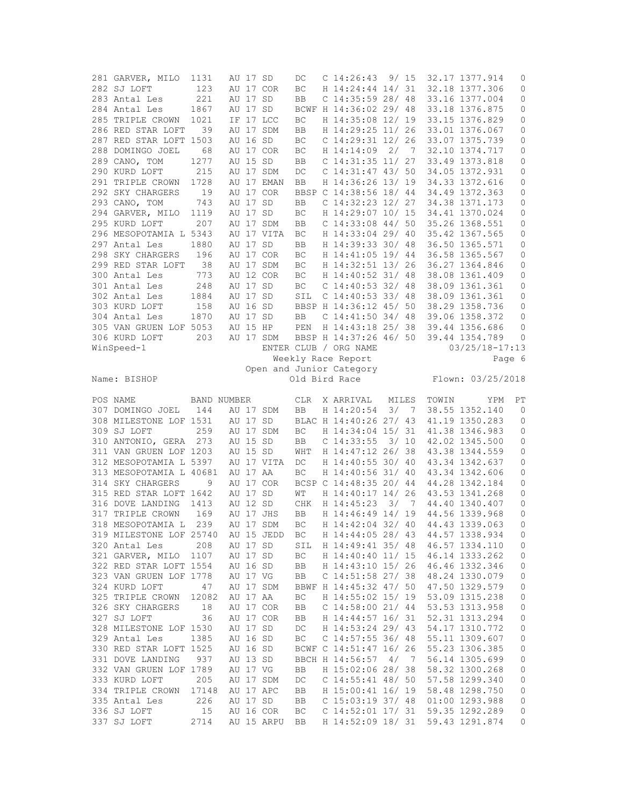| 281 GARVER, MILO           | 1131        | AU 17 SD |                         | DC         | C <sub>14:26:43</sub>                    |       | 9/15           |       | 32.17 1377.914                   | 0           |
|----------------------------|-------------|----------|-------------------------|------------|------------------------------------------|-------|----------------|-------|----------------------------------|-------------|
| 282 SJ LOFT                | 123         |          | AU 17 COR               | BC         | H 14:24:44 14/ 31                        |       |                |       | 32.18 1377.306                   | 0           |
| 283 Antal Les              | 221         | AU 17 SD |                         | BB         | $C$ 14:35:59 28/ 48                      |       |                |       | 33.16 1377.004                   | $\mathbb O$ |
| 284 Antal Les              | 1867        | AU 17 SD |                         |            | BCWF H 14:36:02 29/ 48                   |       |                |       | 33.18 1376.875                   | 0           |
| 285 TRIPLE CROWN           | 1021        |          | IF 17 LCC               | BC         | H 14:35:08 12/ 19                        |       |                |       | 33.15 1376.829                   | 0           |
| 286 RED STAR LOFT          | 39          |          | AU 17 SDM               | BB         | H 14:29:25 11/ 26                        |       |                |       | 33.01 1376.067                   | 0           |
|                            |             |          |                         |            |                                          |       |                |       |                                  |             |
| 287 RED STAR LOFT 1503     |             | AU 16 SD |                         | BC         | $C$ 14:29:31 12/ 26                      |       |                |       | 33.07 1375.739                   | $\mathbb O$ |
| 288 DOMINGO JOEL           | 68          |          | AU 17 COR               | BC         | H 14:14:09                               | 2/    | $\overline{7}$ |       | 32.10 1374.717                   | 0           |
| 289 CANO, TOM              | 1277        | AU 15 SD |                         | BB         | $C$ 14:31:35 11/ 27                      |       |                |       | 33.49 1373.818                   | 0           |
| 290 KURD LOFT              | 215         |          | AU 17 SDM               | DC         | $C$ 14:31:47 43/ 50                      |       |                |       | 34.05 1372.931                   | 0           |
| 291 TRIPLE CROWN           | 1728        |          | AU 17 EMAN              | BB         | H 14:36:26 13/ 19                        |       |                |       | 34.33 1372.616                   | 0           |
| 292 SKY CHARGERS           | 19          |          | AU 17 COR               |            | BBSP C 14:38:56 18/ 44                   |       |                |       | 34.49 1372.363                   | 0           |
| 293 CANO, TOM              | 743         | AU 17 SD |                         | BB         | C $14:32:23$ $12/27$                     |       |                |       | 34.38 1371.173                   | 0           |
| 294 GARVER, MILO           | 1119        | AU 17 SD |                         | BC         | H 14:29:07 10/ 15                        |       |                |       | 34.41 1370.024                   | $\mathbb O$ |
| 295 KURD LOFT              | 207         |          | AU 17 SDM               | BB         | C 14:33:08 44/ 50                        |       |                |       | 35.26 1368.551                   | 0           |
|                            |             |          |                         |            |                                          |       |                |       |                                  |             |
| 296 MESOPOTAMIA L 5343     |             |          | AU 17 VITA              | ВC         | H 14:33:04 29/ 40                        |       |                |       | 35.42 1367.565                   | 0           |
| 297 Antal Les              | 1880        | AU 17 SD |                         | BB         | H 14:39:33 30/ 48                        |       |                |       | 36.50 1365.571                   | $\mathbb O$ |
| 298 SKY CHARGERS           | 196         |          | AU 17 COR               | ВC         | H 14:41:05 19/ 44                        |       |                |       | 36.58 1365.567                   | 0           |
| 299 RED STAR LOFT          | 38          |          | AU 17 SDM               | BC         | H 14:32:51 13/ 26                        |       |                |       | 36.27 1364.846                   | 0           |
| 300 Antal Les              | 773         |          | AU 12 COR               | BC         | H 14:40:52 31/ 48                        |       |                |       | 38.08 1361.409                   | 0           |
| 301 Antal Les              | 248         | AU 17 SD |                         | BC         | C $14:40:53$ 32/ 48                      |       |                |       | 38.09 1361.361                   | 0           |
| 302 Antal Les              | 1884        | AU 17 SD |                         | SIL        | C $14:40:53$ 33/ 48                      |       |                |       | 38.09 1361.361                   | 0           |
| 303 KURD LOFT              | 158         | AU 16 SD |                         |            | BBSP H 14:36:12 45/ 50                   |       |                |       | 38.29 1358.736                   | $\mathbb O$ |
|                            |             |          |                         |            |                                          |       |                |       |                                  |             |
| 304 Antal Les              | 1870        | AU 17 SD |                         | BB         | $C$ 14:41:50 34/48                       |       |                |       | 39.06 1358.372                   | 0           |
| 305 VAN GRUEN LOF 5053     |             | AU 15 HP |                         | PEN        | H 14:43:18 25/ 38                        |       |                |       | 39.44 1356.686                   | 0           |
| 306 KURD LOFT              | 203         |          | AU 17 SDM               |            | BBSP H 14:37:26 46/ 50                   |       |                |       | 39.44 1354.789                   | 0           |
| WinSpeed-1                 |             |          |                         |            | ENTER CLUB / ORG NAME                    |       |                |       | $03/25/18 - 17:13$               |             |
|                            |             |          |                         |            | Weekly Race Report                       |       |                |       |                                  | Page 6      |
|                            |             |          |                         |            | Open and Junior Category                 |       |                |       |                                  |             |
| Name: BISHOP               |             |          |                         |            | Old Bird Race                            |       |                |       | Flown: 03/25/2018                |             |
|                            |             |          |                         |            |                                          |       |                |       |                                  |             |
|                            |             |          |                         |            |                                          |       |                |       |                                  |             |
| POS NAME                   | BAND NUMBER |          |                         | <b>CLR</b> | X ARRIVAL                                | MILES |                | TOWIN | YPM                              | PT          |
|                            | 144         |          |                         | BB         |                                          |       | 3/7            |       |                                  | $\mathbf 0$ |
| 307 DOMINGO JOEL           |             |          | AU 17 SDM               |            | H 14:20:54                               |       |                |       | 38.55 1352.140                   |             |
| 308 MILESTONE LOF 1531     |             | AU 17 SD |                         |            | BLAC H 14:40:26 27/ 43                   |       |                |       | 41.19 1350.283                   | 0           |
| 309 SJ LOFT                | 259         |          | AU 17 SDM               | BC         | H 14:34:04 15/ 31                        |       |                |       | 41.38 1346.983                   | 0           |
| 310 ANTONIO, GERA          | 273         | AU 15 SD |                         | BB         | $C$ 14:33:55                             | 3/10  |                |       | 42.02 1345.500                   | 0           |
| 311 VAN GRUEN LOF 1203     |             | AU 15 SD |                         | WHT        | H 14:47:12 26/ 38                        |       |                |       | 43.38 1344.559                   | $\mathbb O$ |
| 312 MESOPOTAMIA L 5397     |             |          | AU 17 VITA              | DC         | H 14:40:55 30/ 40                        |       |                |       | 43.34 1342.637                   | 0           |
| 313 MESOPOTAMIA L 40681    |             | AU 17 AA |                         | BC         | H 14:40:56 31/ 40                        |       |                |       | 43.34 1342.606                   | 0           |
| 314 SKY CHARGERS           | 9           |          | AU 17 COR               |            | BCSP C 14:48:35 20/ 44                   |       |                |       | 44.28 1342.184                   | 0           |
| 315 RED STAR LOFT 1642     |             | AU 17 SD |                         | WΤ         | H 14:40:17 14/ 26                        |       |                |       | 43.53 1341.268                   | 0           |
|                            | 1413        | AU 12 SD |                         |            |                                          | 3/    | $\overline{7}$ |       |                                  | 0           |
| 316 DOVE LANDING           |             |          |                         | CHK        | H 14:45:23                               |       |                |       | 44.40 1340.407                   |             |
| 317 TRIPLE CROWN           | 169         |          | AU 17 JHS               | BB         | H 14:46:49 14/ 19                        |       |                |       | 44.56 1339.968                   | 0           |
| 318 MESOPOTAMIA L          | 239         |          | AU 17 SDM               | BC         | H 14:42:04 32/ 40                        |       |                |       | 44.43 1339.063                   | $\mathbf 0$ |
| 319 MILESTONE LOF 25740    |             |          | AU 15 JEDD              | ВC         | H 14:44:05 28/ 43                        |       |                |       | 44.57 1338.934                   | 0           |
| 320 Antal Les              | 208         | AU 17 SD |                         | SIL        | H 14:49:41 35/ 48                        |       |                |       | 46.57 1334.110                   | 0           |
| 321 GARVER, MILO 1107      |             | AU 17 SD |                         | ВC         | H 14:40:40 11/ 15                        |       |                |       | 46.14 1333.262                   | 0           |
| 322 RED STAR LOFT 1554     |             | AU 16 SD |                         | BB         | H 14:43:10 15/ 26                        |       |                |       | 46.46 1332.346                   | 0           |
| 323 VAN GRUEN LOF 1778     |             | AU 17 VG |                         | BB         | C $14:51:58$ 27/ 38                      |       |                |       | 48.24 1330.079                   | 0           |
|                            |             |          | AU 17 SDM               |            |                                          |       |                |       | 47.50 1329.579                   |             |
| 324 KURD LOFT              | 47          |          |                         |            | BBWF H 14:45:32 47/ 50                   |       |                |       |                                  | $\mathbb O$ |
| 325 TRIPLE CROWN           | 12082       | AU 17 AA |                         | ВC         | H 14:55:02 15/ 19                        |       |                |       | 53.09 1315.238                   | $\mathbf 0$ |
| 326 SKY CHARGERS           | 18          |          | AU 17 COR               | BB         | $C$ 14:58:00 21/44                       |       |                |       | 53.53 1313.958                   | 0           |
| 327 SJ LOFT                | 36          |          | AU 17 COR               | BB         | H 14:44:57 16/ 31                        |       |                |       | 52.31 1313.294                   | 0           |
| 328 MILESTONE LOF 1530     |             | AU 17 SD |                         | DC         | H 14:53:24 29/ 43                        |       |                |       | 54.17 1310.772                   | $\mathbf 0$ |
| 329 Antal Les              | 1385        | AU 16 SD |                         | BC         | $C$ 14:57:55 36/48                       |       |                |       | 55.11 1309.607                   | 0           |
| 330 RED STAR LOFT 1525     |             | AU 16 SD |                         |            | BCWF C 14:51:47 16/ 26                   |       |                |       | 55.23 1306.385                   | 0           |
| 331 DOVE LANDING           | 937         | AU 13 SD |                         |            | BBCH H 14:56:57                          | 4/    | $\overline{7}$ |       | 56.14 1305.699                   | $\mathbb O$ |
| 332 VAN GRUEN LOF 1789     |             | AU 17 VG |                         | BB         | H 15:02:06 28/ 38                        |       |                |       | 58.32 1300.268                   | $\mathbf 0$ |
| 333 KURD LOFT              | 205         |          |                         | DC         | $C$ 14:55:41 48/ 50                      |       |                |       |                                  | 0           |
|                            |             |          | AU 17 SDM               |            |                                          |       |                |       | 57.58 1299.340                   |             |
| 334 TRIPLE CROWN           | 17148       |          | AU 17 APC               | BB         | H 15:00:41 16/ 19                        |       |                |       | 58.48 1298.750                   | $\mathbf 0$ |
| 335 Antal Les              | 226         | AU 17 SD |                         | BB         | $C$ 15:03:19 37/ 48                      |       |                |       | 01:00 1293.988                   | 0           |
| 336 SJ LOFT<br>337 SJ LOFT | 15<br>2714  |          | AU 16 COR<br>AU 15 ARPU | ВC<br>BB   | $C$ 14:52:01 17/ 31<br>H 14:52:09 18/ 31 |       |                |       | 59.35 1292.289<br>59.43 1291.874 | 0<br>0      |